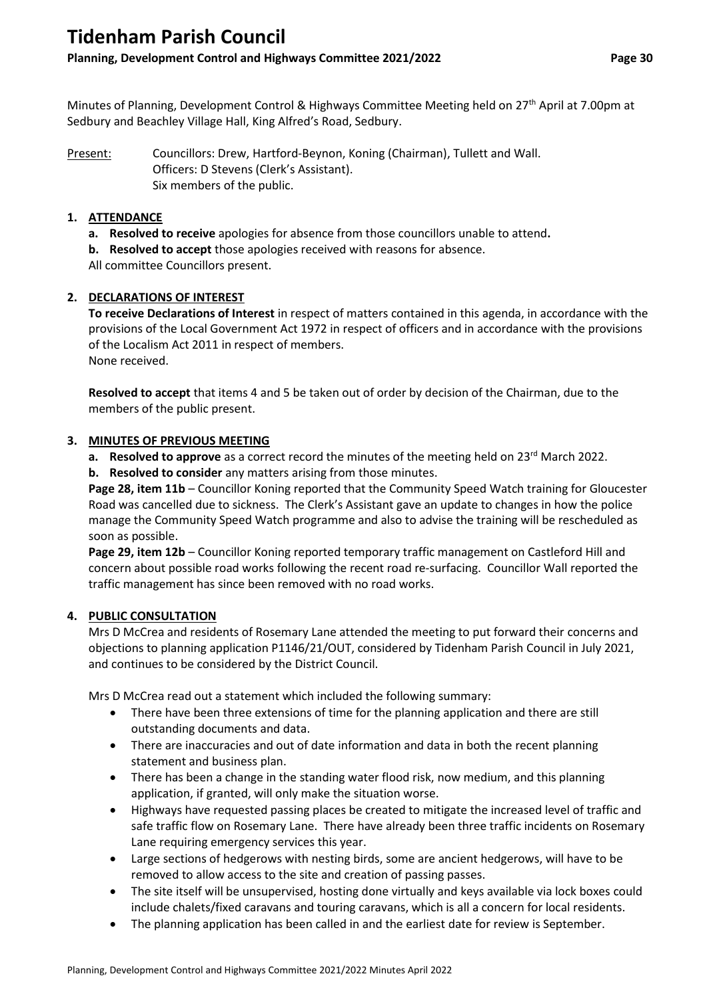# **Tidenham Parish Council**

## **Planning, Development Control and Highways Committee 2021/2022 Page 30**

Minutes of Planning, Development Control & Highways Committee Meeting held on 27<sup>th</sup> April at 7.00pm at Sedbury and Beachley Village Hall, King Alfred's Road, Sedbury.

Present: Councillors: Drew, Hartford-Beynon, Koning (Chairman), Tullett and Wall. Officers: D Stevens (Clerk's Assistant). Six members of the public.

## **1. ATTENDANCE**

- **a. Resolved to receive** apologies for absence from those councillors unable to attend**.**
- **b. Resolved to accept** those apologies received with reasons for absence.

All committee Councillors present.

## **2. DECLARATIONS OF INTEREST**

**To receive Declarations of Interest** in respect of matters contained in this agenda, in accordance with the provisions of the Local Government Act 1972 in respect of officers and in accordance with the provisions of the Localism Act 2011 in respect of members. None received.

**Resolved to accept** that items 4 and 5 be taken out of order by decision of the Chairman, due to the members of the public present.

#### **3. MINUTES OF PREVIOUS MEETING**

- **a. Resolved to approve** as a correct record the minutes of the meeting held on 23<sup>rd</sup> March 2022.
- **b. Resolved to consider** any matters arising from those minutes.

Page 28, item 11b – Councillor Koning reported that the Community Speed Watch training for Gloucester Road was cancelled due to sickness. The Clerk's Assistant gave an update to changes in how the police manage the Community Speed Watch programme and also to advise the training will be rescheduled as soon as possible.

**Page 29, item 12b** – Councillor Koning reported temporary traffic management on Castleford Hill and concern about possible road works following the recent road re-surfacing. Councillor Wall reported the traffic management has since been removed with no road works.

#### **4. PUBLIC CONSULTATION**

Mrs D McCrea and residents of Rosemary Lane attended the meeting to put forward their concerns and objections to planning application P1146/21/OUT, considered by Tidenham Parish Council in July 2021, and continues to be considered by the District Council.

Mrs D McCrea read out a statement which included the following summary:

- There have been three extensions of time for the planning application and there are still outstanding documents and data.
- There are inaccuracies and out of date information and data in both the recent planning statement and business plan.
- There has been a change in the standing water flood risk, now medium, and this planning application, if granted, will only make the situation worse.
- Highways have requested passing places be created to mitigate the increased level of traffic and safe traffic flow on Rosemary Lane. There have already been three traffic incidents on Rosemary Lane requiring emergency services this year.
- Large sections of hedgerows with nesting birds, some are ancient hedgerows, will have to be removed to allow access to the site and creation of passing passes.
- The site itself will be unsupervised, hosting done virtually and keys available via lock boxes could include chalets/fixed caravans and touring caravans, which is all a concern for local residents.
- The planning application has been called in and the earliest date for review is September.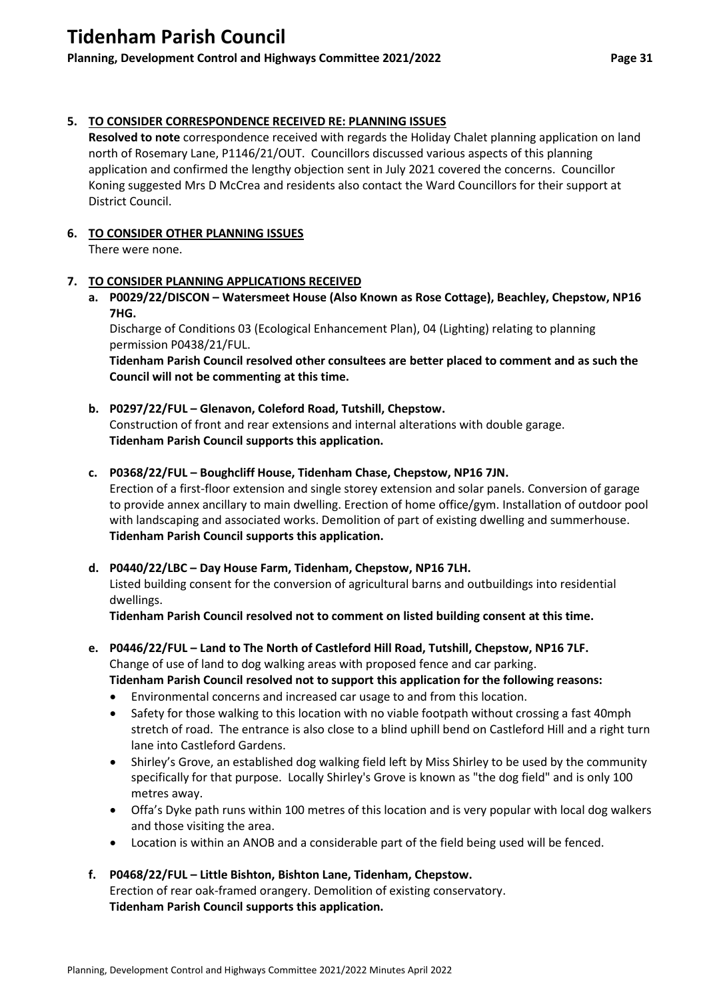# **Tidenham Parish Council Planning, Development Control and Highways Committee 2021/2022 Page 31**

## **5. TO CONSIDER CORRESPONDENCE RECEIVED RE: PLANNING ISSUES**

**Resolved to note** correspondence received with regards the Holiday Chalet planning application on land north of Rosemary Lane, P1146/21/OUT. Councillors discussed various aspects of this planning application and confirmed the lengthy objection sent in July 2021 covered the concerns. Councillor Koning suggested Mrs D McCrea and residents also contact the Ward Councillors for their support at District Council.

## **6. TO CONSIDER OTHER PLANNING ISSUES**

There were none.

## **7. TO CONSIDER PLANNING APPLICATIONS RECEIVED**

**a. P0029/22/DISCON – Watersmeet House (Also Known as Rose Cottage), Beachley, Chepstow, NP16 7HG.**

Discharge of Conditions 03 (Ecological Enhancement Plan), 04 (Lighting) relating to planning permission P0438/21/FUL.

**Tidenham Parish Council resolved other consultees are better placed to comment and as such the Council will not be commenting at this time.**

- **b. P0297/22/FUL – Glenavon, Coleford Road, Tutshill, Chepstow.** Construction of front and rear extensions and internal alterations with double garage. **Tidenham Parish Council supports this application.**
- **c. P0368/22/FUL – Boughcliff House, Tidenham Chase, Chepstow, NP16 7JN.**

Erection of a first-floor extension and single storey extension and solar panels. Conversion of garage to provide annex ancillary to main dwelling. Erection of home office/gym. Installation of outdoor pool with landscaping and associated works. Demolition of part of existing dwelling and summerhouse. **Tidenham Parish Council supports this application.**

## **d. P0440/22/LBC – Day House Farm, Tidenham, Chepstow, NP16 7LH.**

Listed building consent for the conversion of agricultural barns and outbuildings into residential dwellings.

**Tidenham Parish Council resolved not to comment on listed building consent at this time.**

**e. P0446/22/FUL – Land to The North of Castleford Hill Road, Tutshill, Chepstow, NP16 7LF.** Change of use of land to dog walking areas with proposed fence and car parking.

## **Tidenham Parish Council resolved not to support this application for the following reasons:**

- Environmental concerns and increased car usage to and from this location.
- Safety for those walking to this location with no viable footpath without crossing a fast 40mph stretch of road. The entrance is also close to a blind uphill bend on Castleford Hill and a right turn lane into Castleford Gardens.
- Shirley's Grove, an established dog walking field left by Miss Shirley to be used by the community specifically for that purpose. Locally Shirley's Grove is known as "the dog field" and is only 100 metres away.
- Offa's Dyke path runs within 100 metres of this location and is very popular with local dog walkers and those visiting the area.
- Location is within an ANOB and a considerable part of the field being used will be fenced.

## **f. P0468/22/FUL – Little Bishton, Bishton Lane, Tidenham, Chepstow.**

Erection of rear oak-framed orangery. Demolition of existing conservatory. **Tidenham Parish Council supports this application.**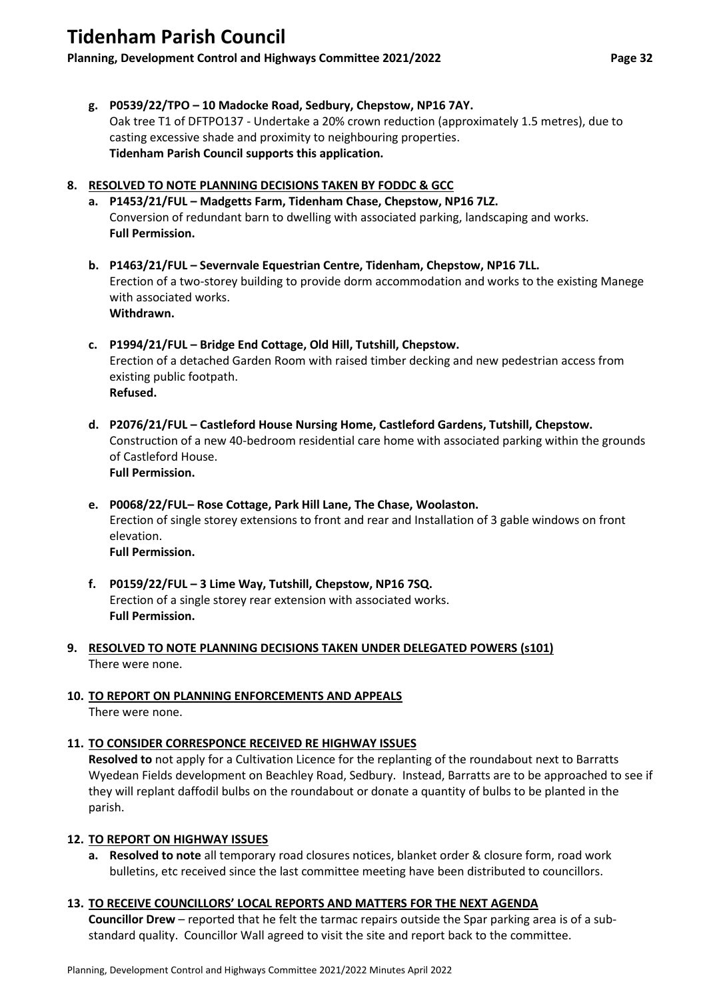# **Tidenham Parish Council**

## **Planning, Development Control and Highways Committee 2021/2022 Page 32**

**g. P0539/22/TPO – 10 Madocke Road, Sedbury, Chepstow, NP16 7AY.** Oak tree T1 of DFTPO137 - Undertake a 20% crown reduction (approximately 1.5 metres), due to casting excessive shade and proximity to neighbouring properties. **Tidenham Parish Council supports this application.**

## **8. RESOLVED TO NOTE PLANNING DECISIONS TAKEN BY FODDC & GCC**

- **a. P1453/21/FUL – Madgetts Farm, Tidenham Chase, Chepstow, NP16 7LZ.** Conversion of redundant barn to dwelling with associated parking, landscaping and works. **Full Permission.**
- **b. P1463/21/FUL – Severnvale Equestrian Centre, Tidenham, Chepstow, NP16 7LL.** Erection of a two-storey building to provide dorm accommodation and works to the existing Manege with associated works. **Withdrawn.**
- **c. P1994/21/FUL – Bridge End Cottage, Old Hill, Tutshill, Chepstow.** Erection of a detached Garden Room with raised timber decking and new pedestrian access from existing public footpath. **Refused.**
- **d. P2076/21/FUL – Castleford House Nursing Home, Castleford Gardens, Tutshill, Chepstow.** Construction of a new 40-bedroom residential care home with associated parking within the grounds of Castleford House. **Full Permission.**
- **e. P0068/22/FUL– Rose Cottage, Park Hill Lane, The Chase, Woolaston.** Erection of single storey extensions to front and rear and Installation of 3 gable windows on front elevation. **Full Permission.**
- **f. P0159/22/FUL – 3 Lime Way, Tutshill, Chepstow, NP16 7SQ.** Erection of a single storey rear extension with associated works. **Full Permission.**
- **9. RESOLVED TO NOTE PLANNING DECISIONS TAKEN UNDER DELEGATED POWERS (s101)** There were none.
- **10. TO REPORT ON PLANNING ENFORCEMENTS AND APPEALS** There were none.

## **11. TO CONSIDER CORRESPONCE RECEIVED RE HIGHWAY ISSUES**

**Resolved to** not apply for a Cultivation Licence for the replanting of the roundabout next to Barratts Wyedean Fields development on Beachley Road, Sedbury. Instead, Barratts are to be approached to see if they will replant daffodil bulbs on the roundabout or donate a quantity of bulbs to be planted in the parish.

## **12. TO REPORT ON HIGHWAY ISSUES**

**a. Resolved to note** all temporary road closures notices, blanket order & closure form, road work bulletins, etc received since the last committee meeting have been distributed to councillors.

#### **13. TO RECEIVE COUNCILLORS' LOCAL REPORTS AND MATTERS FOR THE NEXT AGENDA**

**Councillor Drew** – reported that he felt the tarmac repairs outside the Spar parking area is of a substandard quality. Councillor Wall agreed to visit the site and report back to the committee.